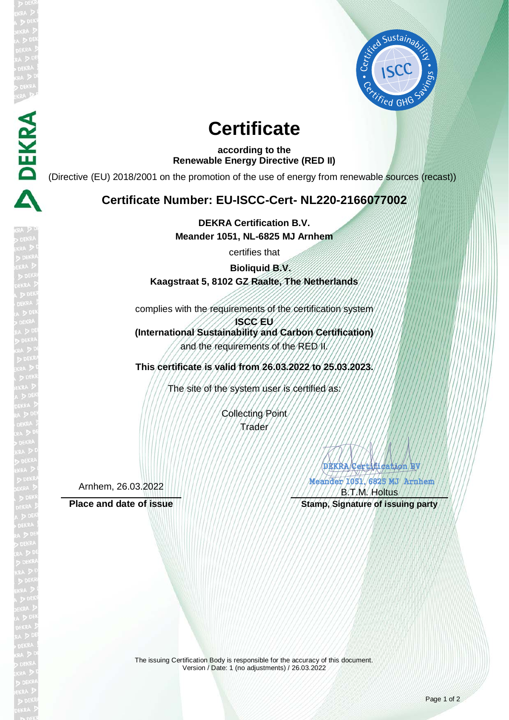

# **Certificate**

**according to the Renewable Energy Directive (RED II)**

(Directive (EU) 2018/2001 on the promotion of the use of energy from renewable sources (recast))

## **Certificate Number: EU-ISCC-Cert- NL220-2166077002**

**DEKRA Certification B.V. Meander 1051, NL-6825 MJ Arnhem**

certifies that

**Bioliquid B.V. Kaagstraat 5, 8102 GZ Raalte, The Netherlands**

complies with the requirements of the certification system

**ISCC EU (International Sustainability and Carbon Certification)** and the requirements of the RED II.

**This certificate is valid from 26.03.2022 to 25.03.2023.**

The site of the system user is certified as:

Collecting Point Trader

Arnhem, 26.03.2022

**DEKRA** 

DEKRA Certification BV Meander 1051, 6825 MJ Arnhem **SERRA COMPANY** 

B.T.M. Holtus Place and date of issue **Stamp, Stamp, Signature of issuing party** 

> The issuing Certification Body is responsible for the accuracy of this document. Version / Date: 1 (no adjustments) / 26.03.2022